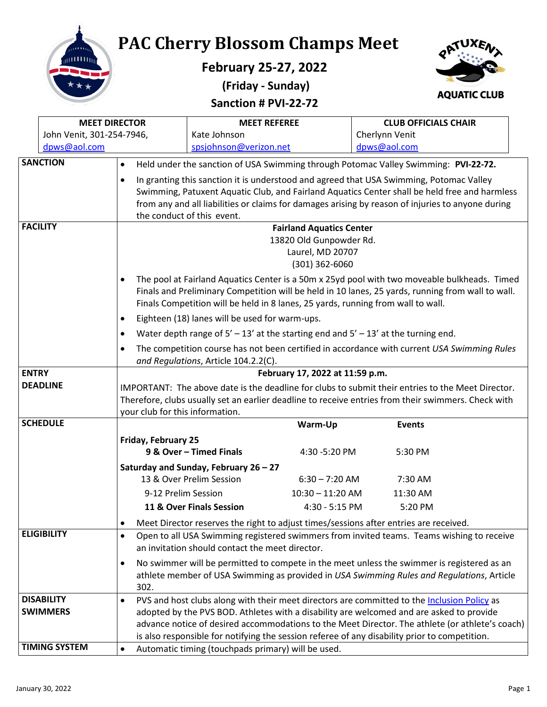

**PAC Cherry Blossom Champs Meet**

**February 25-27, 2022 (Friday - Sunday)**





|                                                 | <b>MEET DIRECTOR</b>      |                                                                                                                                                                                                                                                                                       | <b>MEET REFEREE</b>                                                                           |                                                            |                | <b>CLUB OFFICIALS CHAIR</b>                                                                         |  |
|-------------------------------------------------|---------------------------|---------------------------------------------------------------------------------------------------------------------------------------------------------------------------------------------------------------------------------------------------------------------------------------|-----------------------------------------------------------------------------------------------|------------------------------------------------------------|----------------|-----------------------------------------------------------------------------------------------------|--|
|                                                 | John Venit, 301-254-7946, |                                                                                                                                                                                                                                                                                       | Kate Johnson                                                                                  |                                                            | Cherlynn Venit |                                                                                                     |  |
|                                                 | dpws@aol.com              |                                                                                                                                                                                                                                                                                       | spsjohnson@verizon.net                                                                        |                                                            | dpws@aol.com   |                                                                                                     |  |
|                                                 | <b>SANCTION</b>           | $\bullet$                                                                                                                                                                                                                                                                             | Held under the sanction of USA Swimming through Potomac Valley Swimming: PVI-22-72.           |                                                            |                |                                                                                                     |  |
|                                                 |                           | $\bullet$                                                                                                                                                                                                                                                                             | In granting this sanction it is understood and agreed that USA Swimming, Potomac Valley       |                                                            |                |                                                                                                     |  |
|                                                 |                           |                                                                                                                                                                                                                                                                                       |                                                                                               |                                                            |                | Swimming, Patuxent Aquatic Club, and Fairland Aquatics Center shall be held free and harmless       |  |
|                                                 |                           |                                                                                                                                                                                                                                                                                       |                                                                                               |                                                            |                | from any and all liabilities or claims for damages arising by reason of injuries to anyone during   |  |
|                                                 | <b>FACILITY</b>           |                                                                                                                                                                                                                                                                                       | the conduct of this event.                                                                    |                                                            |                |                                                                                                     |  |
|                                                 |                           |                                                                                                                                                                                                                                                                                       |                                                                                               | <b>Fairland Aquatics Center</b><br>13820 Old Gunpowder Rd. |                |                                                                                                     |  |
|                                                 |                           |                                                                                                                                                                                                                                                                                       |                                                                                               | Laurel, MD 20707                                           |                |                                                                                                     |  |
|                                                 |                           |                                                                                                                                                                                                                                                                                       |                                                                                               | $(301)$ 362-6060                                           |                |                                                                                                     |  |
|                                                 |                           |                                                                                                                                                                                                                                                                                       |                                                                                               |                                                            |                |                                                                                                     |  |
|                                                 |                           | The pool at Fairland Aquatics Center is a 50m x 25yd pool with two moveable bulkheads. Timed<br>Finals and Preliminary Competition will be held in 10 lanes, 25 yards, running from wall to wall.<br>Finals Competition will be held in 8 lanes, 25 yards, running from wall to wall. |                                                                                               |                                                            |                |                                                                                                     |  |
|                                                 |                           |                                                                                                                                                                                                                                                                                       | Eighteen (18) lanes will be used for warm-ups.                                                |                                                            |                |                                                                                                     |  |
|                                                 |                           |                                                                                                                                                                                                                                                                                       | Water depth range of $5' - 13'$ at the starting end and $5' - 13'$ at the turning end.        |                                                            |                |                                                                                                     |  |
|                                                 |                           |                                                                                                                                                                                                                                                                                       |                                                                                               |                                                            |                | The competition course has not been certified in accordance with current USA Swimming Rules         |  |
|                                                 |                           |                                                                                                                                                                                                                                                                                       | and Regulations, Article 104.2.2(C).                                                          |                                                            |                |                                                                                                     |  |
| <b>ENTRY</b><br>February 17, 2022 at 11:59 p.m. |                           |                                                                                                                                                                                                                                                                                       |                                                                                               |                                                            |                |                                                                                                     |  |
|                                                 | <b>DEADLINE</b>           | IMPORTANT: The above date is the deadline for clubs to submit their entries to the Meet Director.                                                                                                                                                                                     |                                                                                               |                                                            |                |                                                                                                     |  |
|                                                 |                           |                                                                                                                                                                                                                                                                                       |                                                                                               |                                                            |                | Therefore, clubs usually set an earlier deadline to receive entries from their swimmers. Check with |  |
|                                                 | <b>SCHEDULE</b>           | your club for this information.                                                                                                                                                                                                                                                       |                                                                                               | Warm-Up                                                    | <b>Events</b>  |                                                                                                     |  |
|                                                 |                           |                                                                                                                                                                                                                                                                                       |                                                                                               |                                                            |                |                                                                                                     |  |
|                                                 |                           | Friday, February 25                                                                                                                                                                                                                                                                   | 9 & Over - Timed Finals                                                                       | 4:30 -5:20 PM                                              | 5:30 PM        |                                                                                                     |  |
|                                                 |                           |                                                                                                                                                                                                                                                                                       | Saturday and Sunday, February 26 - 27                                                         |                                                            |                |                                                                                                     |  |
|                                                 |                           |                                                                                                                                                                                                                                                                                       | 13 & Over Prelim Session                                                                      | $6:30 - 7:20$ AM                                           | 7:30 AM        |                                                                                                     |  |
|                                                 |                           | 9-12 Prelim Session                                                                                                                                                                                                                                                                   |                                                                                               | $10:30 - 11:20$ AM                                         | 11:30 AM       |                                                                                                     |  |
|                                                 |                           |                                                                                                                                                                                                                                                                                       | 11 & Over Finals Session                                                                      | 4:30 - 5:15 PM                                             | 5:20 PM        |                                                                                                     |  |
|                                                 |                           |                                                                                                                                                                                                                                                                                       | Meet Director reserves the right to adjust times/sessions after entries are received.         |                                                            |                |                                                                                                     |  |
|                                                 | <b>ELIGIBILITY</b>        | $\bullet$                                                                                                                                                                                                                                                                             |                                                                                               |                                                            |                | Open to all USA Swimming registered swimmers from invited teams. Teams wishing to receive           |  |
|                                                 |                           |                                                                                                                                                                                                                                                                                       | an invitation should contact the meet director.                                               |                                                            |                |                                                                                                     |  |
|                                                 |                           | ٠                                                                                                                                                                                                                                                                                     |                                                                                               |                                                            |                | No swimmer will be permitted to compete in the meet unless the swimmer is registered as an          |  |
|                                                 |                           |                                                                                                                                                                                                                                                                                       |                                                                                               |                                                            |                | athlete member of USA Swimming as provided in USA Swimming Rules and Regulations, Article           |  |
|                                                 |                           | 302.                                                                                                                                                                                                                                                                                  |                                                                                               |                                                            |                |                                                                                                     |  |
|                                                 | <b>DISABILITY</b>         | PVS and host clubs along with their meet directors are committed to the Inclusion Policy as<br>$\bullet$<br>adopted by the PVS BOD. Athletes with a disability are welcomed and are asked to provide                                                                                  |                                                                                               |                                                            |                |                                                                                                     |  |
|                                                 | <b>SWIMMERS</b>           |                                                                                                                                                                                                                                                                                       |                                                                                               |                                                            |                | advance notice of desired accommodations to the Meet Director. The athlete (or athlete's coach)     |  |
|                                                 |                           |                                                                                                                                                                                                                                                                                       | is also responsible for notifying the session referee of any disability prior to competition. |                                                            |                |                                                                                                     |  |
|                                                 | <b>TIMING SYSTEM</b>      | $\bullet$                                                                                                                                                                                                                                                                             | Automatic timing (touchpads primary) will be used.                                            |                                                            |                |                                                                                                     |  |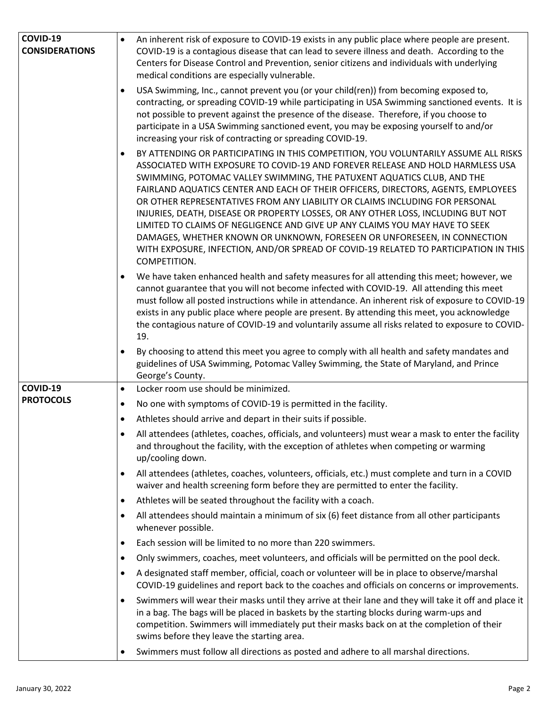| COVID-19              | $\bullet$ | An inherent risk of exposure to COVID-19 exists in any public place where people are present.                                                                                                                                                                                                                                                                                                                                                                                                                                                                                                                                                                                                                                                                                |
|-----------------------|-----------|------------------------------------------------------------------------------------------------------------------------------------------------------------------------------------------------------------------------------------------------------------------------------------------------------------------------------------------------------------------------------------------------------------------------------------------------------------------------------------------------------------------------------------------------------------------------------------------------------------------------------------------------------------------------------------------------------------------------------------------------------------------------------|
| <b>CONSIDERATIONS</b> |           | COVID-19 is a contagious disease that can lead to severe illness and death. According to the                                                                                                                                                                                                                                                                                                                                                                                                                                                                                                                                                                                                                                                                                 |
|                       |           | Centers for Disease Control and Prevention, senior citizens and individuals with underlying<br>medical conditions are especially vulnerable.                                                                                                                                                                                                                                                                                                                                                                                                                                                                                                                                                                                                                                 |
|                       | $\bullet$ | USA Swimming, Inc., cannot prevent you (or your child(ren)) from becoming exposed to,<br>contracting, or spreading COVID-19 while participating in USA Swimming sanctioned events. It is<br>not possible to prevent against the presence of the disease. Therefore, if you choose to<br>participate in a USA Swimming sanctioned event, you may be exposing yourself to and/or<br>increasing your risk of contracting or spreading COVID-19.                                                                                                                                                                                                                                                                                                                                 |
|                       | $\bullet$ | BY ATTENDING OR PARTICIPATING IN THIS COMPETITION, YOU VOLUNTARILY ASSUME ALL RISKS<br>ASSOCIATED WITH EXPOSURE TO COVID-19 AND FOREVER RELEASE AND HOLD HARMLESS USA<br>SWIMMING, POTOMAC VALLEY SWIMMING, THE PATUXENT AQUATICS CLUB, AND THE<br>FAIRLAND AQUATICS CENTER AND EACH OF THEIR OFFICERS, DIRECTORS, AGENTS, EMPLOYEES<br>OR OTHER REPRESENTATIVES FROM ANY LIABILITY OR CLAIMS INCLUDING FOR PERSONAL<br>INJURIES, DEATH, DISEASE OR PROPERTY LOSSES, OR ANY OTHER LOSS, INCLUDING BUT NOT<br>LIMITED TO CLAIMS OF NEGLIGENCE AND GIVE UP ANY CLAIMS YOU MAY HAVE TO SEEK<br>DAMAGES, WHETHER KNOWN OR UNKNOWN, FORESEEN OR UNFORESEEN, IN CONNECTION<br>WITH EXPOSURE, INFECTION, AND/OR SPREAD OF COVID-19 RELATED TO PARTICIPATION IN THIS<br>COMPETITION. |
|                       | $\bullet$ | We have taken enhanced health and safety measures for all attending this meet; however, we<br>cannot guarantee that you will not become infected with COVID-19. All attending this meet<br>must follow all posted instructions while in attendance. An inherent risk of exposure to COVID-19<br>exists in any public place where people are present. By attending this meet, you acknowledge<br>the contagious nature of COVID-19 and voluntarily assume all risks related to exposure to COVID-<br>19.                                                                                                                                                                                                                                                                      |
|                       | $\bullet$ | By choosing to attend this meet you agree to comply with all health and safety mandates and<br>guidelines of USA Swimming, Potomac Valley Swimming, the State of Maryland, and Prince<br>George's County.                                                                                                                                                                                                                                                                                                                                                                                                                                                                                                                                                                    |
| <b>COVID-19</b>       | $\bullet$ | Locker room use should be minimized.                                                                                                                                                                                                                                                                                                                                                                                                                                                                                                                                                                                                                                                                                                                                         |
| <b>PROTOCOLS</b>      | $\bullet$ | No one with symptoms of COVID-19 is permitted in the facility.                                                                                                                                                                                                                                                                                                                                                                                                                                                                                                                                                                                                                                                                                                               |
|                       |           |                                                                                                                                                                                                                                                                                                                                                                                                                                                                                                                                                                                                                                                                                                                                                                              |
|                       | $\bullet$ | Athletes should arrive and depart in their suits if possible.                                                                                                                                                                                                                                                                                                                                                                                                                                                                                                                                                                                                                                                                                                                |
|                       |           | All attendees (athletes, coaches, officials, and volunteers) must wear a mask to enter the facility<br>and throughout the facility, with the exception of athletes when competing or warming<br>up/cooling down.                                                                                                                                                                                                                                                                                                                                                                                                                                                                                                                                                             |
|                       | $\bullet$ | All attendees (athletes, coaches, volunteers, officials, etc.) must complete and turn in a COVID<br>waiver and health screening form before they are permitted to enter the facility.                                                                                                                                                                                                                                                                                                                                                                                                                                                                                                                                                                                        |
|                       | $\bullet$ | Athletes will be seated throughout the facility with a coach.                                                                                                                                                                                                                                                                                                                                                                                                                                                                                                                                                                                                                                                                                                                |
|                       | $\bullet$ | All attendees should maintain a minimum of six (6) feet distance from all other participants<br>whenever possible.                                                                                                                                                                                                                                                                                                                                                                                                                                                                                                                                                                                                                                                           |
|                       | $\bullet$ | Each session will be limited to no more than 220 swimmers.                                                                                                                                                                                                                                                                                                                                                                                                                                                                                                                                                                                                                                                                                                                   |
|                       | $\bullet$ | Only swimmers, coaches, meet volunteers, and officials will be permitted on the pool deck.                                                                                                                                                                                                                                                                                                                                                                                                                                                                                                                                                                                                                                                                                   |
|                       | $\bullet$ | A designated staff member, official, coach or volunteer will be in place to observe/marshal<br>COVID-19 guidelines and report back to the coaches and officials on concerns or improvements.                                                                                                                                                                                                                                                                                                                                                                                                                                                                                                                                                                                 |
|                       | $\bullet$ | Swimmers will wear their masks until they arrive at their lane and they will take it off and place it<br>in a bag. The bags will be placed in baskets by the starting blocks during warm-ups and<br>competition. Swimmers will immediately put their masks back on at the completion of their<br>swims before they leave the starting area.                                                                                                                                                                                                                                                                                                                                                                                                                                  |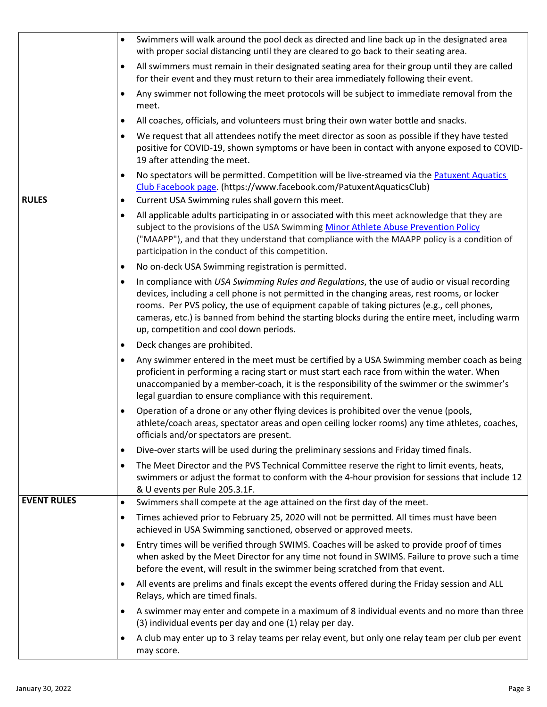|                    | Swimmers will walk around the pool deck as directed and line back up in the designated area<br>$\bullet$                                                                                                                                                                                                                                                                                                                                             |
|--------------------|------------------------------------------------------------------------------------------------------------------------------------------------------------------------------------------------------------------------------------------------------------------------------------------------------------------------------------------------------------------------------------------------------------------------------------------------------|
|                    | with proper social distancing until they are cleared to go back to their seating area.                                                                                                                                                                                                                                                                                                                                                               |
|                    | All swimmers must remain in their designated seating area for their group until they are called<br>$\bullet$<br>for their event and they must return to their area immediately following their event.                                                                                                                                                                                                                                                |
|                    | Any swimmer not following the meet protocols will be subject to immediate removal from the<br>$\bullet$<br>meet.                                                                                                                                                                                                                                                                                                                                     |
|                    | All coaches, officials, and volunteers must bring their own water bottle and snacks.<br>$\bullet$                                                                                                                                                                                                                                                                                                                                                    |
|                    | We request that all attendees notify the meet director as soon as possible if they have tested<br>$\bullet$<br>positive for COVID-19, shown symptoms or have been in contact with anyone exposed to COVID-<br>19 after attending the meet.                                                                                                                                                                                                           |
|                    | No spectators will be permitted. Competition will be live-streamed via the Patuxent Aquatics<br>$\bullet$<br>Club Facebook page. (https://www.facebook.com/PatuxentAquaticsClub)                                                                                                                                                                                                                                                                     |
| <b>RULES</b>       | Current USA Swimming rules shall govern this meet.<br>$\bullet$                                                                                                                                                                                                                                                                                                                                                                                      |
|                    | All applicable adults participating in or associated with this meet acknowledge that they are<br>$\bullet$<br>subject to the provisions of the USA Swimming Minor Athlete Abuse Prevention Policy<br>("MAAPP"), and that they understand that compliance with the MAAPP policy is a condition of<br>participation in the conduct of this competition.                                                                                                |
|                    | No on-deck USA Swimming registration is permitted.<br>$\bullet$                                                                                                                                                                                                                                                                                                                                                                                      |
|                    | In compliance with USA Swimming Rules and Regulations, the use of audio or visual recording<br>$\bullet$<br>devices, including a cell phone is not permitted in the changing areas, rest rooms, or locker<br>rooms. Per PVS policy, the use of equipment capable of taking pictures (e.g., cell phones,<br>cameras, etc.) is banned from behind the starting blocks during the entire meet, including warm<br>up, competition and cool down periods. |
|                    | Deck changes are prohibited.<br>$\bullet$                                                                                                                                                                                                                                                                                                                                                                                                            |
|                    | Any swimmer entered in the meet must be certified by a USA Swimming member coach as being<br>$\bullet$<br>proficient in performing a racing start or must start each race from within the water. When<br>unaccompanied by a member-coach, it is the responsibility of the swimmer or the swimmer's<br>legal guardian to ensure compliance with this requirement.                                                                                     |
|                    | Operation of a drone or any other flying devices is prohibited over the venue (pools,<br>$\bullet$<br>athlete/coach areas, spectator areas and open ceiling locker rooms) any time athletes, coaches,<br>officials and/or spectators are present.                                                                                                                                                                                                    |
|                    | Dive-over starts will be used during the preliminary sessions and Friday timed finals.<br>$\bullet$                                                                                                                                                                                                                                                                                                                                                  |
|                    | The Meet Director and the PVS Technical Committee reserve the right to limit events, heats,<br>$\bullet$<br>swimmers or adjust the format to conform with the 4-hour provision for sessions that include 12<br>& U events per Rule 205.3.1F.                                                                                                                                                                                                         |
| <b>EVENT RULES</b> | Swimmers shall compete at the age attained on the first day of the meet.<br>$\bullet$                                                                                                                                                                                                                                                                                                                                                                |
|                    | Times achieved prior to February 25, 2020 will not be permitted. All times must have been<br>$\bullet$<br>achieved in USA Swimming sanctioned, observed or approved meets.                                                                                                                                                                                                                                                                           |
|                    | Entry times will be verified through SWIMS. Coaches will be asked to provide proof of times<br>$\bullet$<br>when asked by the Meet Director for any time not found in SWIMS. Failure to prove such a time<br>before the event, will result in the swimmer being scratched from that event.                                                                                                                                                           |
|                    | All events are prelims and finals except the events offered during the Friday session and ALL<br>$\bullet$<br>Relays, which are timed finals.                                                                                                                                                                                                                                                                                                        |
|                    | A swimmer may enter and compete in a maximum of 8 individual events and no more than three<br>$\bullet$<br>(3) individual events per day and one (1) relay per day.                                                                                                                                                                                                                                                                                  |
|                    | A club may enter up to 3 relay teams per relay event, but only one relay team per club per event<br>$\bullet$<br>may score.                                                                                                                                                                                                                                                                                                                          |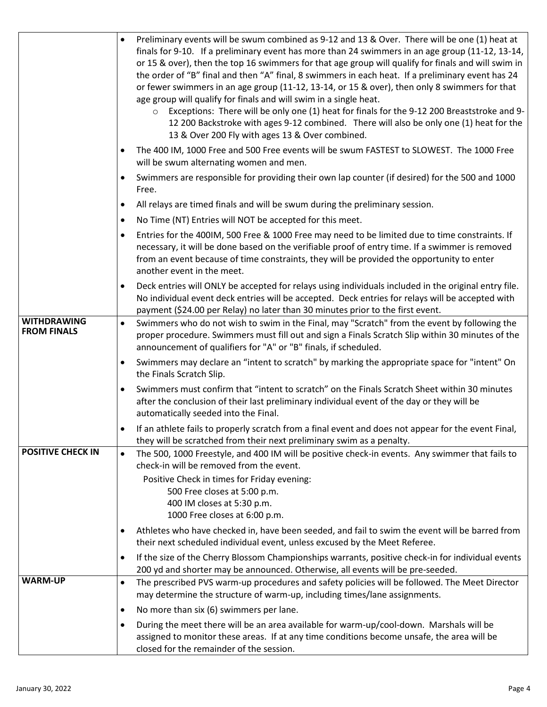|                                          | Preliminary events will be swum combined as 9-12 and 13 & Over. There will be one (1) heat at<br>$\bullet$<br>finals for 9-10. If a preliminary event has more than 24 swimmers in an age group (11-12, 13-14,<br>or 15 & over), then the top 16 swimmers for that age group will qualify for finals and will swim in<br>the order of "B" final and then "A" final, 8 swimmers in each heat. If a preliminary event has 24<br>or fewer swimmers in an age group (11-12, 13-14, or 15 & over), then only 8 swimmers for that<br>age group will qualify for finals and will swim in a single heat.<br>Exceptions: There will be only one (1) heat for finals for the 9-12 200 Breaststroke and 9-<br>$\circ$<br>12 200 Backstroke with ages 9-12 combined. There will also be only one (1) heat for the<br>13 & Over 200 Fly with ages 13 & Over combined. |
|------------------------------------------|----------------------------------------------------------------------------------------------------------------------------------------------------------------------------------------------------------------------------------------------------------------------------------------------------------------------------------------------------------------------------------------------------------------------------------------------------------------------------------------------------------------------------------------------------------------------------------------------------------------------------------------------------------------------------------------------------------------------------------------------------------------------------------------------------------------------------------------------------------|
|                                          | The 400 IM, 1000 Free and 500 Free events will be swum FASTEST to SLOWEST. The 1000 Free<br>will be swum alternating women and men.                                                                                                                                                                                                                                                                                                                                                                                                                                                                                                                                                                                                                                                                                                                      |
|                                          | Swimmers are responsible for providing their own lap counter (if desired) for the 500 and 1000<br>$\bullet$<br>Free.                                                                                                                                                                                                                                                                                                                                                                                                                                                                                                                                                                                                                                                                                                                                     |
|                                          | All relays are timed finals and will be swum during the preliminary session.<br>$\bullet$                                                                                                                                                                                                                                                                                                                                                                                                                                                                                                                                                                                                                                                                                                                                                                |
|                                          | No Time (NT) Entries will NOT be accepted for this meet.<br>$\bullet$                                                                                                                                                                                                                                                                                                                                                                                                                                                                                                                                                                                                                                                                                                                                                                                    |
|                                          | Entries for the 400IM, 500 Free & 1000 Free may need to be limited due to time constraints. If<br>$\bullet$<br>necessary, it will be done based on the verifiable proof of entry time. If a swimmer is removed<br>from an event because of time constraints, they will be provided the opportunity to enter<br>another event in the meet.                                                                                                                                                                                                                                                                                                                                                                                                                                                                                                                |
|                                          | Deck entries will ONLY be accepted for relays using individuals included in the original entry file.<br>$\bullet$<br>No individual event deck entries will be accepted. Deck entries for relays will be accepted with<br>payment (\$24.00 per Relay) no later than 30 minutes prior to the first event.                                                                                                                                                                                                                                                                                                                                                                                                                                                                                                                                                  |
| <b>WITHDRAWING</b><br><b>FROM FINALS</b> | Swimmers who do not wish to swim in the Final, may "Scratch" from the event by following the<br>$\bullet$<br>proper procedure. Swimmers must fill out and sign a Finals Scratch Slip within 30 minutes of the<br>announcement of qualifiers for "A" or "B" finals, if scheduled.                                                                                                                                                                                                                                                                                                                                                                                                                                                                                                                                                                         |
|                                          | Swimmers may declare an "intent to scratch" by marking the appropriate space for "intent" On<br>$\bullet$<br>the Finals Scratch Slip.                                                                                                                                                                                                                                                                                                                                                                                                                                                                                                                                                                                                                                                                                                                    |
|                                          | Swimmers must confirm that "intent to scratch" on the Finals Scratch Sheet within 30 minutes<br>$\bullet$<br>after the conclusion of their last preliminary individual event of the day or they will be<br>automatically seeded into the Final.                                                                                                                                                                                                                                                                                                                                                                                                                                                                                                                                                                                                          |
|                                          | If an athlete fails to properly scratch from a final event and does not appear for the event Final,<br>they will be scratched from their next preliminary swim as a penalty.                                                                                                                                                                                                                                                                                                                                                                                                                                                                                                                                                                                                                                                                             |
| <b>POSITIVE CHECK IN</b>                 | The 500, 1000 Freestyle, and 400 IM will be positive check-in events. Any swimmer that fails to<br>$\bullet$<br>check-in will be removed from the event.                                                                                                                                                                                                                                                                                                                                                                                                                                                                                                                                                                                                                                                                                                 |
|                                          | Positive Check in times for Friday evening:<br>500 Free closes at 5:00 p.m.<br>400 IM closes at 5:30 p.m.<br>1000 Free closes at 6:00 p.m.                                                                                                                                                                                                                                                                                                                                                                                                                                                                                                                                                                                                                                                                                                               |
|                                          | Athletes who have checked in, have been seeded, and fail to swim the event will be barred from<br>٠<br>their next scheduled individual event, unless excused by the Meet Referee.                                                                                                                                                                                                                                                                                                                                                                                                                                                                                                                                                                                                                                                                        |
|                                          | If the size of the Cherry Blossom Championships warrants, positive check-in for individual events<br>٠<br>200 yd and shorter may be announced. Otherwise, all events will be pre-seeded.                                                                                                                                                                                                                                                                                                                                                                                                                                                                                                                                                                                                                                                                 |
| <b>WARM-UP</b>                           | The prescribed PVS warm-up procedures and safety policies will be followed. The Meet Director<br>$\bullet$<br>may determine the structure of warm-up, including times/lane assignments.                                                                                                                                                                                                                                                                                                                                                                                                                                                                                                                                                                                                                                                                  |
|                                          | No more than six (6) swimmers per lane.<br>٠                                                                                                                                                                                                                                                                                                                                                                                                                                                                                                                                                                                                                                                                                                                                                                                                             |
|                                          | During the meet there will be an area available for warm-up/cool-down. Marshals will be<br>$\bullet$<br>assigned to monitor these areas. If at any time conditions become unsafe, the area will be<br>closed for the remainder of the session.                                                                                                                                                                                                                                                                                                                                                                                                                                                                                                                                                                                                           |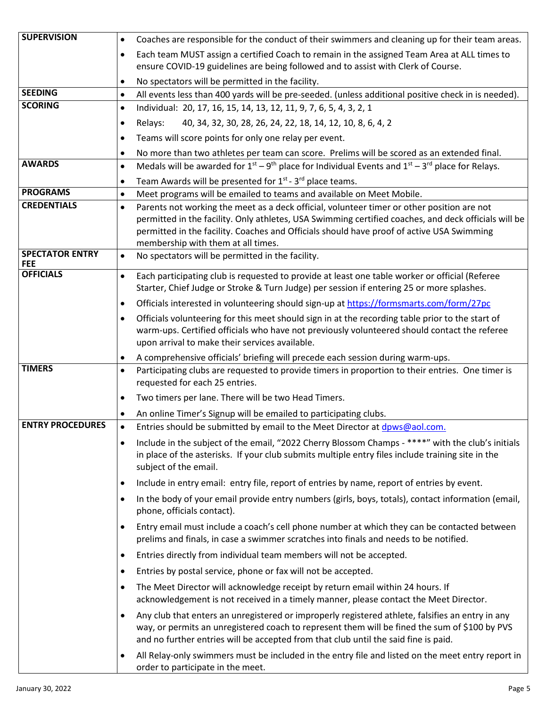| <b>SUPERVISION</b>                    | Coaches are responsible for the conduct of their swimmers and cleaning up for their team areas.<br>$\bullet$                                                                                                                                                                                          |
|---------------------------------------|-------------------------------------------------------------------------------------------------------------------------------------------------------------------------------------------------------------------------------------------------------------------------------------------------------|
|                                       | Each team MUST assign a certified Coach to remain in the assigned Team Area at ALL times to<br>$\bullet$                                                                                                                                                                                              |
|                                       | ensure COVID-19 guidelines are being followed and to assist with Clerk of Course.                                                                                                                                                                                                                     |
|                                       | No spectators will be permitted in the facility.<br>$\bullet$                                                                                                                                                                                                                                         |
| <b>SEEDING</b>                        | All events less than 400 yards will be pre-seeded. (unless additional positive check in is needed).<br>$\bullet$                                                                                                                                                                                      |
| <b>SCORING</b>                        | Individual: 20, 17, 16, 15, 14, 13, 12, 11, 9, 7, 6, 5, 4, 3, 2, 1<br>$\bullet$                                                                                                                                                                                                                       |
|                                       | 40, 34, 32, 30, 28, 26, 24, 22, 18, 14, 12, 10, 8, 6, 4, 2<br>Relays:<br>$\bullet$                                                                                                                                                                                                                    |
|                                       | Teams will score points for only one relay per event.<br>$\bullet$                                                                                                                                                                                                                                    |
|                                       | No more than two athletes per team can score. Prelims will be scored as an extended final.<br>$\bullet$                                                                                                                                                                                               |
| <b>AWARDS</b>                         | Medals will be awarded for $1^{st} - 9^{th}$ place for Individual Events and $1^{st} - 3^{rd}$ place for Relays.<br>$\bullet$                                                                                                                                                                         |
|                                       | Team Awards will be presented for 1 <sup>st</sup> - 3 <sup>rd</sup> place teams.<br>$\bullet$                                                                                                                                                                                                         |
| <b>PROGRAMS</b><br><b>CREDENTIALS</b> | Meet programs will be emailed to teams and available on Meet Mobile.<br>$\bullet$                                                                                                                                                                                                                     |
|                                       | Parents not working the meet as a deck official, volunteer timer or other position are not<br>$\bullet$<br>permitted in the facility. Only athletes, USA Swimming certified coaches, and deck officials will be                                                                                       |
|                                       | permitted in the facility. Coaches and Officials should have proof of active USA Swimming                                                                                                                                                                                                             |
| <b>SPECTATOR ENTRY</b><br><b>FEE</b>  | membership with them at all times.<br>No spectators will be permitted in the facility.<br>$\bullet$                                                                                                                                                                                                   |
| <b>OFFICIALS</b>                      | Each participating club is requested to provide at least one table worker or official (Referee<br>$\bullet$<br>Starter, Chief Judge or Stroke & Turn Judge) per session if entering 25 or more splashes.                                                                                              |
|                                       | Officials interested in volunteering should sign-up at https://formsmarts.com/form/27pc<br>$\bullet$                                                                                                                                                                                                  |
|                                       | Officials volunteering for this meet should sign in at the recording table prior to the start of<br>$\bullet$                                                                                                                                                                                         |
|                                       | warm-ups. Certified officials who have not previously volunteered should contact the referee<br>upon arrival to make their services available.                                                                                                                                                        |
|                                       | A comprehensive officials' briefing will precede each session during warm-ups.<br>٠                                                                                                                                                                                                                   |
| <b>TIMERS</b>                         | Participating clubs are requested to provide timers in proportion to their entries. One timer is<br>$\bullet$<br>requested for each 25 entries.                                                                                                                                                       |
|                                       | Two timers per lane. There will be two Head Timers.<br>$\bullet$                                                                                                                                                                                                                                      |
|                                       | An online Timer's Signup will be emailed to participating clubs.                                                                                                                                                                                                                                      |
| <b>ENTRY PROCEDURES</b>               | Entries should be submitted by email to the Meet Director at dpws@aol.com.<br>$\bullet$                                                                                                                                                                                                               |
|                                       | Include in the subject of the email, "2022 Cherry Blossom Champs - ****" with the club's initials<br>$\bullet$<br>in place of the asterisks. If your club submits multiple entry files include training site in the<br>subject of the email.                                                          |
|                                       | Include in entry email: entry file, report of entries by name, report of entries by event.<br>$\bullet$                                                                                                                                                                                               |
|                                       | In the body of your email provide entry numbers (girls, boys, totals), contact information (email,<br>$\bullet$<br>phone, officials contact).                                                                                                                                                         |
|                                       | Entry email must include a coach's cell phone number at which they can be contacted between<br>$\bullet$<br>prelims and finals, in case a swimmer scratches into finals and needs to be notified.                                                                                                     |
|                                       | Entries directly from individual team members will not be accepted.<br>$\bullet$                                                                                                                                                                                                                      |
|                                       | Entries by postal service, phone or fax will not be accepted.<br>$\bullet$                                                                                                                                                                                                                            |
|                                       | The Meet Director will acknowledge receipt by return email within 24 hours. If<br>$\bullet$                                                                                                                                                                                                           |
|                                       | acknowledgement is not received in a timely manner, please contact the Meet Director.                                                                                                                                                                                                                 |
|                                       | Any club that enters an unregistered or improperly registered athlete, falsifies an entry in any<br>$\bullet$<br>way, or permits an unregistered coach to represent them will be fined the sum of \$100 by PVS<br>and no further entries will be accepted from that club until the said fine is paid. |
|                                       | All Relay-only swimmers must be included in the entry file and listed on the meet entry report in<br>$\bullet$<br>order to participate in the meet.                                                                                                                                                   |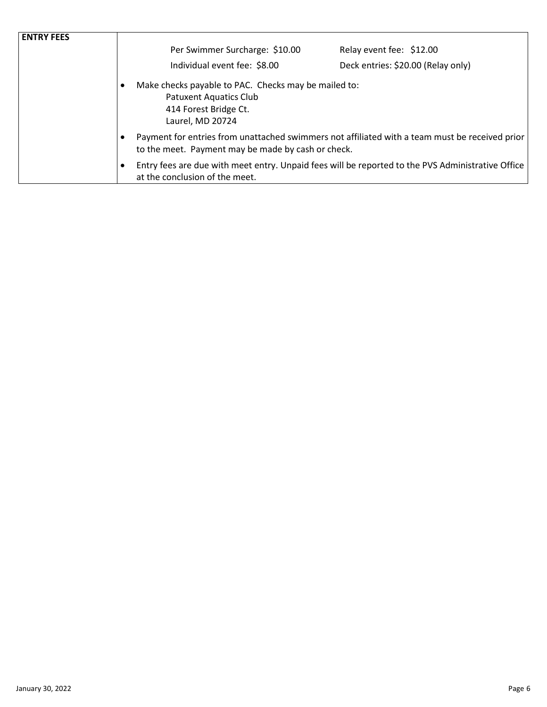| <b>ENTRY FEES</b> |                                                                                                                                                 |                                                                                                   |  |  |
|-------------------|-------------------------------------------------------------------------------------------------------------------------------------------------|---------------------------------------------------------------------------------------------------|--|--|
|                   | Per Swimmer Surcharge: \$10.00                                                                                                                  | Relay event fee: \$12.00                                                                          |  |  |
|                   | Individual event fee: \$8.00                                                                                                                    | Deck entries: \$20.00 (Relay only)                                                                |  |  |
|                   | Make checks payable to PAC. Checks may be mailed to:<br>$\bullet$<br><b>Patuxent Aquatics Club</b><br>414 Forest Bridge Ct.<br>Laurel, MD 20724 |                                                                                                   |  |  |
|                   | to the meet. Payment may be made by cash or check.                                                                                              | Payment for entries from unattached swimmers not affiliated with a team must be received prior    |  |  |
|                   | at the conclusion of the meet.                                                                                                                  | Entry fees are due with meet entry. Unpaid fees will be reported to the PVS Administrative Office |  |  |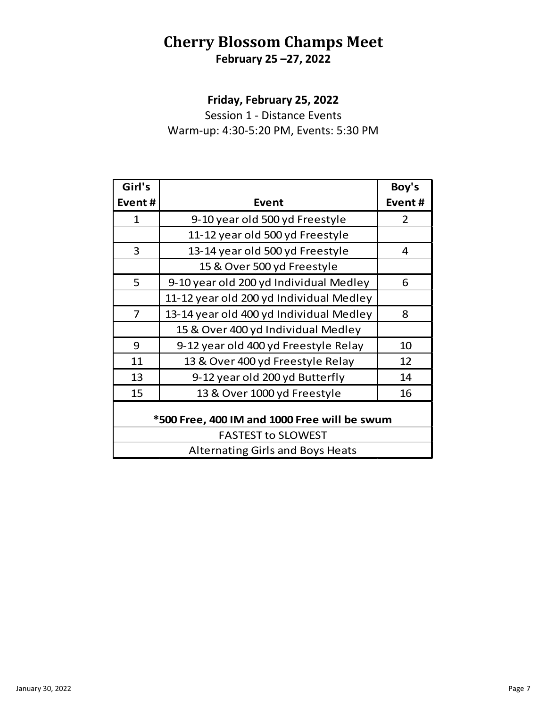# **Cherry Blossom Champs Meet February 25 –27, 2022**

**Friday, February 25, 2022**

Session 1 - Distance Events Warm-up: 4:30-5:20 PM, Events: 5:30 PM

| Girl's                                       |                                         | Boy's  |  |  |
|----------------------------------------------|-----------------------------------------|--------|--|--|
| Event#                                       | Event                                   | Event# |  |  |
| $\mathbf{1}$                                 | 9-10 year old 500 yd Freestyle          | 2      |  |  |
|                                              | 11-12 year old 500 yd Freestyle         |        |  |  |
| 3                                            | 13-14 year old 500 yd Freestyle         | 4      |  |  |
|                                              | 15 & Over 500 yd Freestyle              |        |  |  |
| 5                                            | 9-10 year old 200 yd Individual Medley  | 6      |  |  |
|                                              | 11-12 year old 200 yd Individual Medley |        |  |  |
| $\overline{7}$                               | 13-14 year old 400 yd Individual Medley | 8      |  |  |
|                                              | 15 & Over 400 yd Individual Medley      |        |  |  |
| 9                                            | 9-12 year old 400 yd Freestyle Relay    | 10     |  |  |
| 11                                           | 13 & Over 400 yd Freestyle Relay        | 12     |  |  |
| 13                                           | 9-12 year old 200 yd Butterfly          | 14     |  |  |
| 15                                           | 13 & Over 1000 yd Freestyle             | 16     |  |  |
| *500 Free, 400 IM and 1000 Free will be swum |                                         |        |  |  |
| <b>FASTEST to SLOWEST</b>                    |                                         |        |  |  |
| <b>Alternating Girls and Boys Heats</b>      |                                         |        |  |  |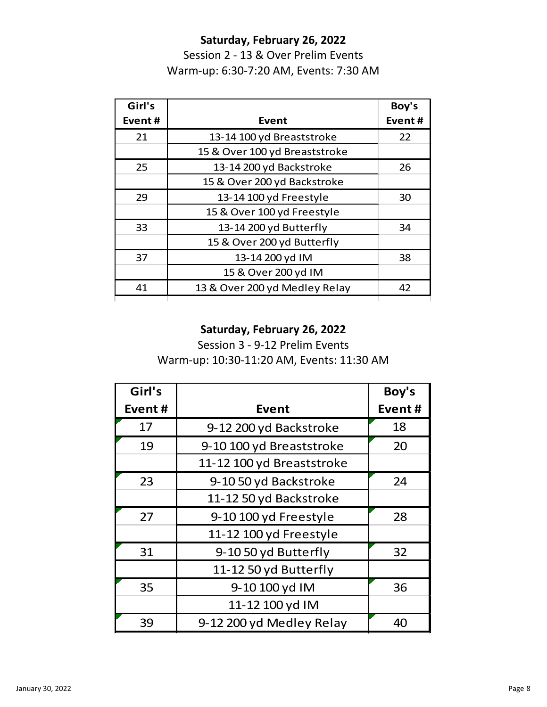## **Saturday, February 26, 2022**

Session 2 - 13 & Over Prelim Events Warm-up: 6:30-7:20 AM, Events: 7:30 AM

| Girl's |                               | Boy's  |
|--------|-------------------------------|--------|
| Event# | Event                         | Event# |
| 21     | 13-14 100 yd Breaststroke     | 22     |
|        | 15 & Over 100 yd Breaststroke |        |
| 25     | 13-14 200 yd Backstroke       | 26     |
|        | 15 & Over 200 yd Backstroke   |        |
| 29     | 13-14 100 yd Freestyle        | 30     |
|        | 15 & Over 100 yd Freestyle    |        |
| 33     | 13-14 200 yd Butterfly        | 34     |
|        | 15 & Over 200 yd Butterfly    |        |
| 37     | 13-14 200 yd IM               | 38     |
|        | 15 & Over 200 yd IM           |        |
| 41     | 13 & Over 200 yd Medley Relay | 42     |

### **Saturday, February 26, 2022**

Session 3 - 9-12 Prelim Events Warm-up: 10:30-11:20 AM, Events: 11:30 AM

| Girl's |                           | Boy's  |
|--------|---------------------------|--------|
| Event# | <b>Event</b>              | Event# |
| 17     | 9-12 200 yd Backstroke    | 18     |
| 19     | 9-10 100 yd Breaststroke  | 20     |
|        | 11-12 100 yd Breaststroke |        |
| 23     | 9-10 50 yd Backstroke     | 24     |
|        | 11-12 50 yd Backstroke    |        |
| 27     | 9-10 100 yd Freestyle     | 28     |
|        | 11-12 100 yd Freestyle    |        |
| 31     | 9-10 50 yd Butterfly      | 32     |
|        | 11-12 50 yd Butterfly     |        |
| 35     | 9-10 100 yd IM            | 36     |
|        | 11-12 100 yd IM           |        |
| 39     | 9-12 200 yd Medley Relay  | 40     |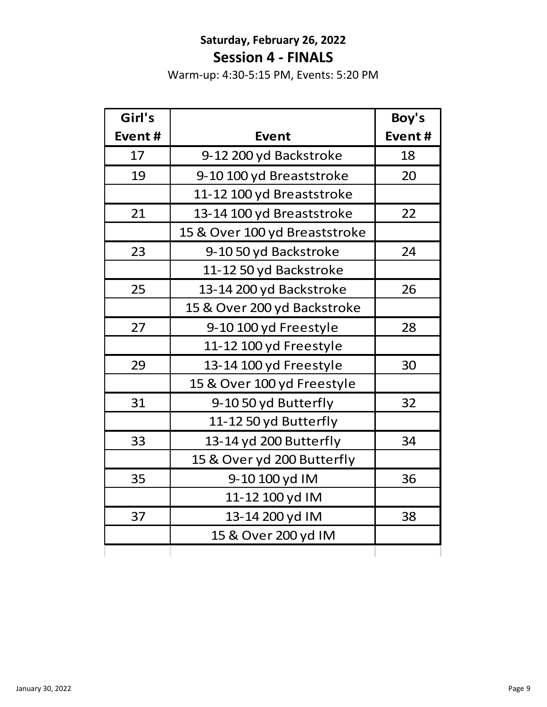# **Saturday, February 26, 2022 Session 4 - FINALS**

Warm-up: 4:30-5:15 PM, Events: 5:20 PM

| Girl's |                               | Boy's  |
|--------|-------------------------------|--------|
| Event# | <b>Event</b>                  | Event# |
| 17     | 9-12 200 yd Backstroke        | 18     |
| 19     | 9-10 100 yd Breaststroke      | 20     |
|        | 11-12 100 yd Breaststroke     |        |
| 21     | 13-14 100 yd Breaststroke     | 22     |
|        | 15 & Over 100 yd Breaststroke |        |
| 23     | 9-10 50 yd Backstroke         | 24     |
|        | 11-12 50 yd Backstroke        |        |
| 25     | 13-14 200 yd Backstroke       | 26     |
|        | 15 & Over 200 yd Backstroke   |        |
| 27     | 9-10 100 yd Freestyle         | 28     |
|        | 11-12 100 yd Freestyle        |        |
| 29     | 13-14 100 yd Freestyle        | 30     |
|        | 15 & Over 100 yd Freestyle    |        |
| 31     | 9-1050 yd Butterfly           | 32     |
|        | 11-12 50 yd Butterfly         |        |
| 33     | 13-14 yd 200 Butterfly        | 34     |
|        | 15 & Over yd 200 Butterfly    |        |
| 35     | 9-10 100 yd IM                | 36     |
|        | 11-12 100 yd IM               |        |
| 37     | 13-14 200 yd IM               | 38     |
|        | 15 & Over 200 yd IM           |        |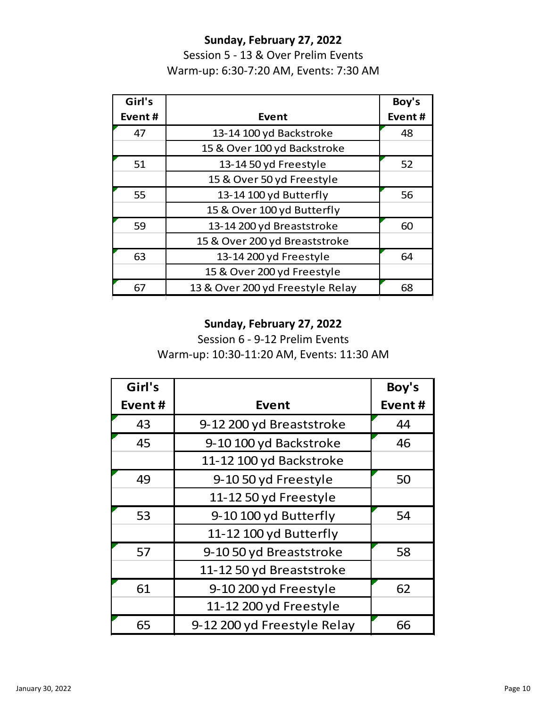### **Sunday, February 27, 2022**

Session 5 - 13 & Over Prelim Events Warm-up: 6:30-7:20 AM, Events: 7:30 AM

| Girl's |                                  | Boy's  |
|--------|----------------------------------|--------|
| Event# | Event                            | Event# |
| 47     | 13-14 100 yd Backstroke          | 48     |
|        | 15 & Over 100 yd Backstroke      |        |
| 51     | 13-14 50 yd Freestyle            | 52     |
|        | 15 & Over 50 yd Freestyle        |        |
| 55     | 13-14 100 yd Butterfly           | 56     |
|        | 15 & Over 100 yd Butterfly       |        |
| 59     | 13-14 200 yd Breaststroke        | 60     |
|        | 15 & Over 200 yd Breaststroke    |        |
| 63     | 13-14 200 yd Freestyle           | 64     |
|        | 15 & Over 200 yd Freestyle       |        |
| 67     | 13 & Over 200 yd Freestyle Relay | 68     |

### **Sunday, February 27, 2022**

Session 6 - 9-12 Prelim Events Warm-up: 10:30-11:20 AM, Events: 11:30 AM

| Girl's |                             | Boy's  |
|--------|-----------------------------|--------|
| Event# | <b>Event</b>                | Event# |
| 43     | 9-12 200 yd Breaststroke    | 44     |
| 45     | 9-10 100 yd Backstroke      | 46     |
|        | 11-12 100 yd Backstroke     |        |
| 49     | 9-10 50 yd Freestyle        | 50     |
|        | 11-12 50 yd Freestyle       |        |
| 53     | 9-10 100 yd Butterfly       | 54     |
|        | 11-12 100 yd Butterfly      |        |
| 57     | 9-10 50 yd Breaststroke     | 58     |
|        | 11-12 50 yd Breaststroke    |        |
| 61     | 9-10 200 yd Freestyle       | 62     |
|        | 11-12 200 yd Freestyle      |        |
| 65     | 9-12 200 yd Freestyle Relay | 66     |